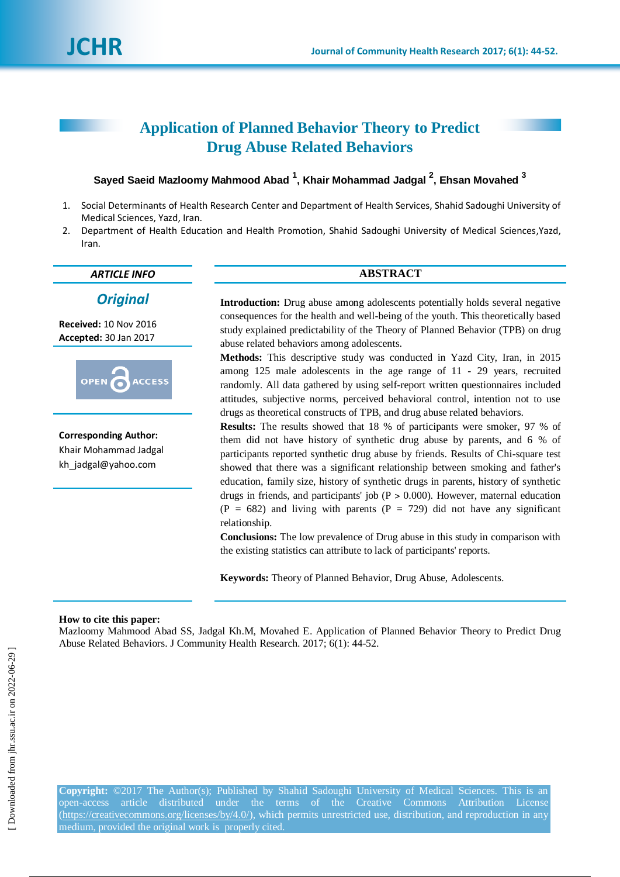# **Application of Planned Behavior Theory to Predict Drug Abuse Related Behaviors**

## **Sayed Saeid Mazloomy Mahmood Abad <sup>1</sup> , Khair Mohammad Jadgal <sup>2</sup> , Ehsan Movahed <sup>3</sup>**

- 1. Social Determinants of Health Research Center and Department of Health Services, Shahid Sadoughi University of Medical Sciences, Yazd, Iran.
- 2. Department of Health Education and Health Promotion, Shahid Sadoughi University of Medical Sciences,Yazd, Iran.

## *Original*

**Received:** 10 Nov 2016 **Accepted:** 30 Jan 2017



**Corresponding Author:** Khair Mohammad Jadgal kh\_jadgal@yahoo.com

## *ARTICLE INFO* **ABSTRACT**

**Introduction:** Drug abuse among adolescents potentially holds several negative consequences for the health and well-being of the youth. This theoretically based study explained predictability of the Theory of Planned Behavior (TPB) on drug abuse related behaviors among adolescents.

**Methods:** This descriptive study was conducted in Yazd City, Iran, in 2015 among 125 male adolescents in the age range of 11 - 29 years, recruited randomly. All data gathered by using self-report written questionnaires included attitudes, subjective norms, perceived behavioral control, intention not to use drugs as theoretical constructs of TPB, and drug abuse related behaviors.

**Results:** The results showed that 18 % of participants were smoker, 97 % of them did not have history of synthetic drug abuse by parents, and 6 % of participants reported synthetic drug abuse by friends. Results of Chi-square test showed that there was a significant relationship between smoking and father's education, family size, history of synthetic drugs in parents, history of synthetic drugs in friends, and participants' job ( $P > 0.000$ ). However, maternal education  $(P = 682)$  and living with parents  $(P = 729)$  did not have any significant relationship.

**Conclusions:** The low prevalence of Drug abuse in this study in comparison with the existing statistics can attribute to lack of participants' reports.

**Keywords:** Theory of Planned Behavior, Drug Abuse, Adolescents.

#### **How to cite this paper:**

Mazloomy Mahmood Abad SS, Jadgal Kh.M, Movahed E. Application of Planned Behavior Theory to Predict Drug Abuse Related Behaviors. J Community Health Research. 2017; 6(1): 44-52.

**Copyright:** ©2017 The Author(s); Published by Shahid Sadoughi University of Medical Sciences. This is an open-access article distributed under the terms of the Creative Commons Attribution License (https://creativecommons.org/licenses/by/4.0/), which permits unrestricted use, distribution, and reproduction in any medium, provided the original work is properly cited.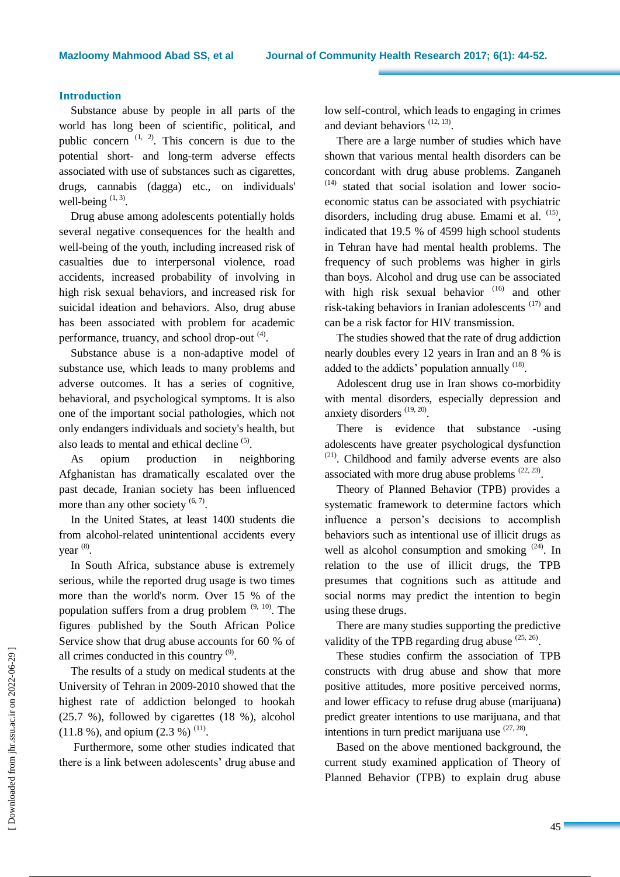#### **Introduction**

Substance abuse by people in all parts of the world has long been of scientific, political, and public concern  $(1, 2)$ . This concern is due to the potential short- and long-term adverse effects associated with use of substances such as cigarettes, drugs, cannabis (dagga) etc., on individuals' well-being  $(1, 3)$ .

Drug abuse among adolescents potentially holds several negative consequences for the health and well-being of the youth, including increased risk of casualties due to interpersonal violence, road accidents, increased probability of involving in high risk sexual behaviors, and increased risk for suicidal ideation and behaviors. Also, drug abuse has been associated with problem for academic performance, truancy, and school drop-out <sup>(4)</sup>.

Substance abuse is a non-adaptive model of substance use, which leads to many problems and adverse outcomes. It has a series of cognitive, behavioral, and psychological symptoms. It is also one of the important social pathologies, which not only endangers individuals and society's health, but also leads to mental and ethical decline<sup>(5)</sup>.

As opium production in neighboring Afghanistan has dramatically escalated over the past decade, Iranian society has been influenced more than any other society  $(6, 7)$ .

In the United States, at least 1400 students die from alcohol-related unintentional accidents every year  $^{(8)}$ .

In South Africa, substance abuse is extremely serious, while the reported drug usage is two times more than the world's norm. Over 15 % of the population suffers from a drug problem  $(9, 10)$ . The figures published by the South African Police Service show that drug abuse accounts for 60 % of all crimes conducted in this country  $(9)$ .

The results of a study on medical students at the University of Tehran in 2009-2010 showed that the highest rate of addiction belonged to hookah (25.7 %), followed by cigarettes (18 %), alcohol  $(11.8\%)$ , and opium  $(2.3\%)$ <sup>(11)</sup>.

Furthermore, some other studies indicated that there is a link between adolescents' drug abuse and low self-control, which leads to engaging in crimes and deviant behaviors  $(12, 13)$ .

There are a large number of studies which have shown that various mental health disorders can be concordant with drug abuse problems. Zanganeh  $(14)$  stated that social isolation and lower socioeconomic status can be associated with psychiatric disorders, including drug abuse. Emami et al. (15), indicated that 19.5 % of 4599 high school students in Tehran have had mental health problems. The frequency of such problems was higher in girls than boys. Alcohol and drug use can be associated with high risk sexual behavior  $(16)$  and other risk-taking behaviors in Iranian adolescents (17) and can be a risk factor for HIV transmission.

The studies showed that the rate of drug addiction nearly doubles every 12 years in Iran and an 8 % is added to the addicts' population annually <sup>(18)</sup>.

Adolescent drug use in Iran shows co-morbidity with mental disorders, especially depression and anxiety disorders  $(19, 20)$ .

There is evidence that substance -using adolescents have greater psychological dysfunction (21). Childhood and family adverse events are also associated with more drug abuse problems  $(22, 23)$ .

Theory of Planned Behavior (TPB) provides a systematic framework to determine factors which influence a person's decisions to accomplish behaviors such as intentional use of illicit drugs as well as alcohol consumption and smoking  $(24)$ . In relation to the use of illicit drugs, the TPB presumes that cognitions such as attitude and social norms may predict the intention to begin using these drugs.

There are many studies supporting the predictive validity of the TPB regarding drug abuse  $(25, 26)$ .

These studies confirm the association of TPB constructs with drug abuse and show that more positive attitudes, more positive perceived norms, and lower efficacy to refuse drug abuse (marijuana) predict greater intentions to use marijuana, and that intentions in turn predict marijuana use  $(27, 28)$ .

Based on the above mentioned background, the current study examined application of Theory of Planned Behavior (TPB) to explain drug abuse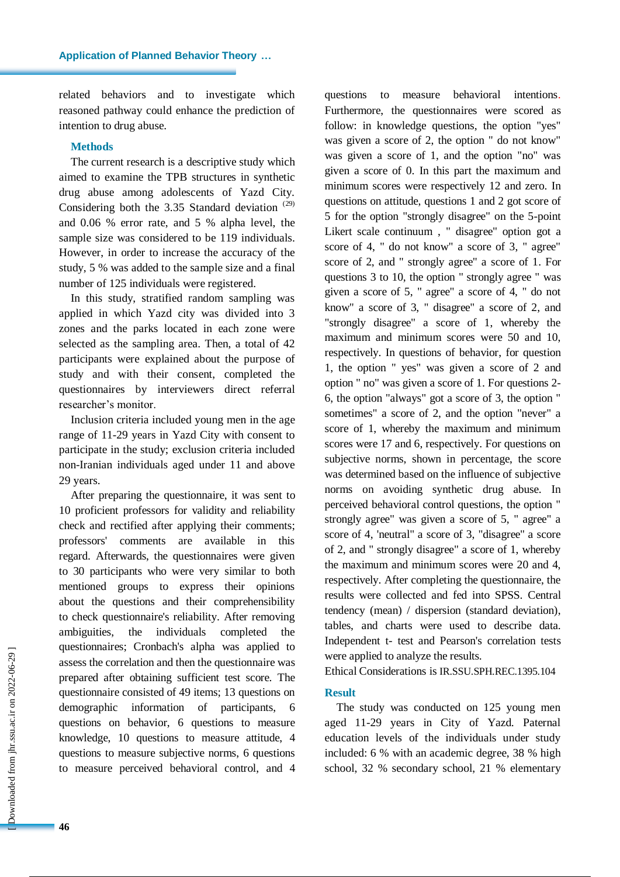related behaviors and to investigate which reasoned pathway could enhance the prediction of intention to drug abuse.

#### **Methods**

The current research is a descriptive study which aimed to examine the TPB structures in synthetic drug abuse among adolescents of Yazd City. Considering both the 3.35 Standard deviation<sup>(29)</sup> and 0.06 % error rate, and 5 % alpha level, the sample size was considered to be 119 individuals. However, in order to increase the accuracy of the study, 5 % was added to the sample size and a final number of 125 individuals were registered.

In this study, stratified random sampling was applied in which Yazd city was divided into 3 zones and the parks located in each zone were selected as the sampling area. Then, a total of 42 participants were explained about the purpose of study and with their consent, completed the questionnaires by interviewers direct referral researcher's monitor.

Inclusion criteria included young men in the age range of 11-29 years in Yazd City with consent to participate in the study; exclusion criteria included non-Iranian individuals aged under 11 and above 29 years.

After preparing the questionnaire, it was sent to 10 proficient professors for validity and reliability check and rectified after applying their comments; professors' comments are available in this regard. Afterwards, the questionnaires were given to 30 participants who were very similar to both mentioned groups to express their opinions about the questions and their comprehensibility to check questionnaire's reliability. After removing ambiguities, the individuals completed the questionnaires; Cronbach's alpha was applied to assess the correlation and then the questionnaire was prepared after obtaining sufficient test score. The questionnaire consisted of 49 items; 13 questions on demographic information of participants, 6 questions on behavior, 6 questions to measure knowledge, 10 questions to measure attitude, 4 questions to measure subjective norms, 6 questions to measure perceived behavioral control, and 4 questions to measure behavioral intentions. Furthermore, the questionnaires were scored as follow: in knowledge questions, the option "yes" was given a score of 2, the option " do not know" was given a score of 1, and the option "no" was given a score of 0. In this part the maximum and minimum scores were respectively 12 and zero. In questions on attitude, questions 1 and 2 got score of 5 for the option "strongly disagree" on the 5-point Likert scale continuum , " disagree" option got a score of 4, " do not know" a score of 3, " agree" score of 2, and " strongly agree" a score of 1. For questions 3 to 10, the option " strongly agree " was given a score of 5, " agree" a score of 4, " do not know" a score of 3, " disagree" a score of 2, and "strongly disagree" a score of 1, whereby the maximum and minimum scores were 50 and 10, respectively. In questions of behavior, for question 1, the option " yes" was given a score of 2 and option " no" was given a score of 1. For questions 2- 6, the option "always" got a score of 3, the option " sometimes" a score of 2, and the option "never" a score of 1, whereby the maximum and minimum scores were 17 and 6, respectively. For questions on subjective norms, shown in percentage, the score was determined based on the influence of subjective norms on avoiding synthetic drug abuse. In perceived behavioral control questions, the option " strongly agree" was given a score of 5, " agree" a score of 4, 'neutral" a score of 3, "disagree" a score of 2, and " strongly disagree" a score of 1, whereby the maximum and minimum scores were 20 and 4, respectively. After completing the questionnaire, the results were collected and fed into SPSS. Central tendency (mean) / dispersion (standard deviation), tables, and charts were used to describe data. Independent t- test and Pearson's correlation tests were applied to analyze the results.

Ethical Considerations is IR.SSU.SPH.REC.1395.104

#### **Result**

The study was conducted on 125 young men aged 11-29 years in City of Yazd. Paternal education levels of the individuals under study included: 6 % with an academic degree, 38 % high school, 32 % secondary school, 21 % elementary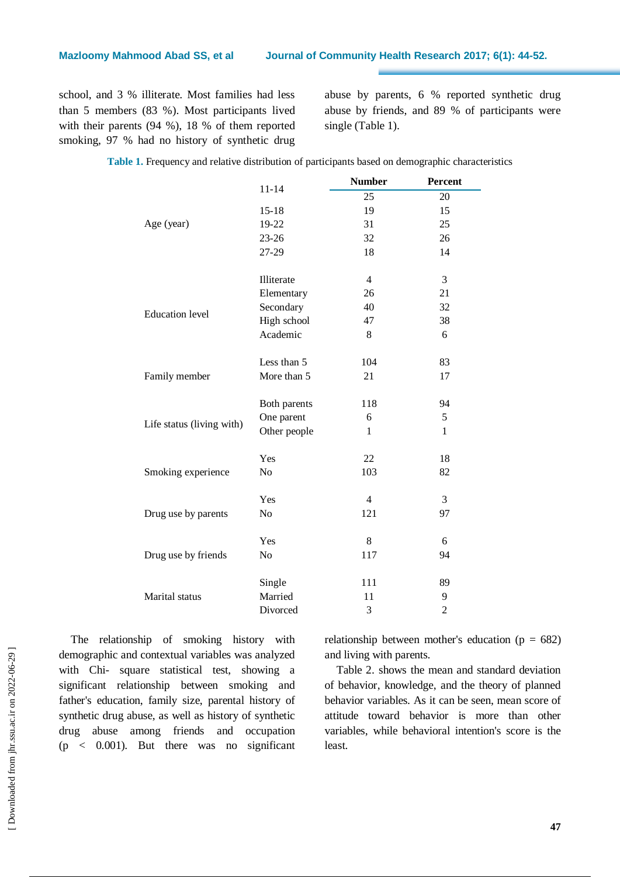school, and 3 % illiterate. Most families had less than 5 members (83 %). Most participants lived with their parents (94 %), 18 % of them reported smoking, 97 % had no history of synthetic drug abuse by parents, 6 % reported synthetic drug abuse by friends, and 89 % of participants were single (Table 1).

| $11 - 14$<br>25<br>20<br>19<br>$15 - 18$<br>15<br>Age (year)<br>19-22<br>31<br>25 |  |
|-----------------------------------------------------------------------------------|--|
|                                                                                   |  |
|                                                                                   |  |
|                                                                                   |  |
| 32<br>23-26<br>26                                                                 |  |
| 27-29<br>18<br>14                                                                 |  |
|                                                                                   |  |
| Illiterate<br>$\overline{4}$<br>3                                                 |  |
| 26<br>21<br>Elementary                                                            |  |
| 32<br>Secondary<br>40<br><b>Education</b> level                                   |  |
| High school<br>47<br>38                                                           |  |
| Academic<br>8<br>6                                                                |  |
| Less than 5<br>83<br>104                                                          |  |
| More than 5<br>21<br>17<br>Family member                                          |  |
| 94<br>Both parents<br>118                                                         |  |
| 5<br>One parent<br>6                                                              |  |
| Life status (living with)<br>Other people<br>1<br>1                               |  |
|                                                                                   |  |
| Yes<br>22<br>18                                                                   |  |
| 82<br>Smoking experience<br>No<br>103                                             |  |
| $\overline{4}$<br>3<br>Yes                                                        |  |
| 97<br>Drug use by parents<br>N <sub>o</sub><br>121                                |  |
|                                                                                   |  |
| 8<br>Yes<br>6                                                                     |  |
| No<br>117<br>94<br>Drug use by friends                                            |  |
| 89<br>Single<br>111                                                               |  |
| Married<br>Marital status<br>9<br>11                                              |  |
| 3<br>$\overline{2}$<br>Divorced                                                   |  |

|  |  |  | Table 1. Frequency and relative distribution of participants based on demographic characteristics |
|--|--|--|---------------------------------------------------------------------------------------------------|
|  |  |  |                                                                                                   |

The relationship of smoking history with demographic and contextual variables was analyzed with Chi- square statistical test, showing a significant relationship between smoking and father's education, family size, parental history of synthetic drug abuse, as well as history of synthetic drug abuse among friends and occupation  $(p < 0.001)$ . But there was no significant relationship between mother's education ( $p = 682$ ) and living with parents.

Table 2. shows the mean and standard deviation of behavior, knowledge, and the theory of planned behavior variables. As it can be seen, mean score of attitude toward behavior is more than other variables, while behavioral intention's score is the least.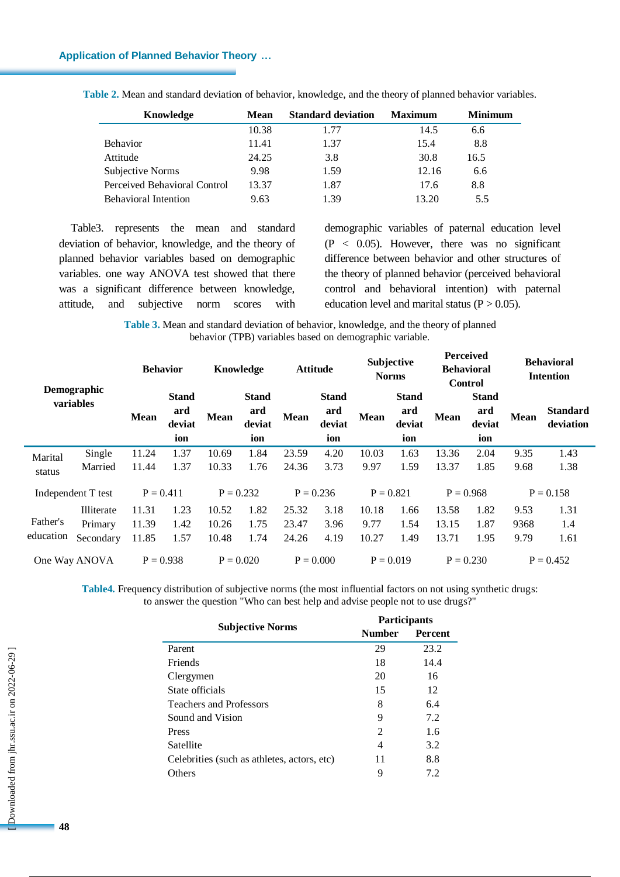| Knowledge                    | <b>Mean</b> | <b>Standard deviation</b> | <b>Maximum</b> | <b>Minimum</b> |
|------------------------------|-------------|---------------------------|----------------|----------------|
|                              | 10.38       | 1.77                      | 14.5           | 6.6            |
| <b>Behavior</b>              | 11.41       | 1.37                      | 15.4           | 8.8            |
| Attitude                     | 24.25       | 3.8                       | 30.8           | 16.5           |
| Subjective Norms             | 9.98        | 1.59                      | 12.16          | 6.6            |
| Perceived Behavioral Control | 13.37       | 1.87                      | 17.6           | 8.8            |
| <b>Behavioral Intention</b>  | 9.63        | 1.39                      | 13.20          | 5.5            |

**Table 2.** Mean and standard deviation of behavior, knowledge, and the theory of planned behavior variables.

Table3. represents the mean and standard deviation of behavior, knowledge, and the theory of planned behavior variables based on demographic variables. one way ANOVA test showed that there was a significant difference between knowledge, attitude, and subjective norm scores with demographic variables of paternal education level  $(P < 0.05)$ . However, there was no significant difference between behavior and other structures of the theory of planned behavior (perceived behavioral control and behavioral intention) with paternal education level and marital status ( $P > 0.05$ ).

**Table 3.** Mean and standard deviation of behavior, knowledge, and the theory of planned behavior (TPB) variables based on demographic variable.

| Demographic<br>variables |                    | <b>Behavior</b><br>Knowledge |                                      | <b>Attitude</b> |                               | Subjective<br><b>Norms</b> |                                      | <b>Perceived</b><br><b>Behavioral</b><br><b>Control</b> |                                      | <b>Behavioral</b><br><b>Intention</b> |                                      |      |                              |
|--------------------------|--------------------|------------------------------|--------------------------------------|-----------------|-------------------------------|----------------------------|--------------------------------------|---------------------------------------------------------|--------------------------------------|---------------------------------------|--------------------------------------|------|------------------------------|
|                          |                    | <b>Mean</b>                  | <b>Stand</b><br>ard<br>deviat<br>ion | Mean            | Stand<br>ard<br>deviat<br>ion | Mean                       | <b>Stand</b><br>ard<br>deviat<br>ion | <b>Mean</b>                                             | <b>Stand</b><br>ard<br>deviat<br>ion | <b>Mean</b>                           | <b>Stand</b><br>ard<br>deviat<br>ion | Mean | <b>Standard</b><br>deviation |
| Marital                  | Single             | 11.24                        | 1.37                                 | 10.69           | 1.84                          | 23.59                      | 4.20                                 | 10.03                                                   | 1.63                                 | 13.36                                 | 2.04                                 | 9.35 | 1.43                         |
| status                   | Married            | 11.44                        | 1.37                                 | 10.33           | 1.76                          | 24.36                      | 3.73                                 | 9.97                                                    | 1.59                                 | 13.37                                 | 1.85                                 | 9.68 | 1.38                         |
|                          | Independent T test |                              | $P = 0.411$                          | $P = 0.232$     |                               |                            | $P = 0.236$                          | $P = 0.821$                                             |                                      |                                       | $P = 0.968$                          |      | $P = 0.158$                  |
|                          | Illiterate         | 11.31                        | 1.23                                 | 10.52           | 1.82                          | 25.32                      | 3.18                                 | 10.18                                                   | 1.66                                 | 13.58                                 | 1.82                                 | 9.53 | 1.31                         |
| Father's                 | Primary            | 11.39                        | 1.42                                 | 10.26           | 1.75                          | 23.47                      | 3.96                                 | 9.77                                                    | 1.54                                 | 13.15                                 | 1.87                                 | 9368 | 1.4                          |
| education                | Secondary          | 11.85                        | 1.57                                 | 10.48           | 1.74                          | 24.26                      | 4.19                                 | 10.27                                                   | 1.49                                 | 13.71                                 | 1.95                                 | 9.79 | 1.61                         |
|                          | One Way ANOVA      |                              | $P = 0.938$                          | $P = 0.020$     |                               |                            | $P = 0.000$                          |                                                         | $P = 0.019$                          |                                       | $P = 0.230$                          |      | $P = 0.452$                  |

**Table4.** Frequency distribution of subjective norms (the most influential factors on not using synthetic drugs: to answer the question "Who can best help and advise people not to use drugs?"

|                                             | Participants  |                |  |  |  |
|---------------------------------------------|---------------|----------------|--|--|--|
| <b>Subjective Norms</b>                     | <b>Number</b> | <b>Percent</b> |  |  |  |
| Parent                                      | 29            | 23.2           |  |  |  |
| <b>Friends</b>                              | 18            | 14.4           |  |  |  |
| Clergymen                                   | 20            | 16             |  |  |  |
| State officials                             | 15            | 12             |  |  |  |
| <b>Teachers and Professors</b>              | 8             | 6.4            |  |  |  |
| Sound and Vision                            | 9             | 7.2            |  |  |  |
| Press                                       | 2             | 1.6            |  |  |  |
| <b>Satellite</b>                            | 4             | 3.2            |  |  |  |
| Celebrities (such as athletes, actors, etc) | 11            | 8.8            |  |  |  |
| Others                                      | 9             | 7.2            |  |  |  |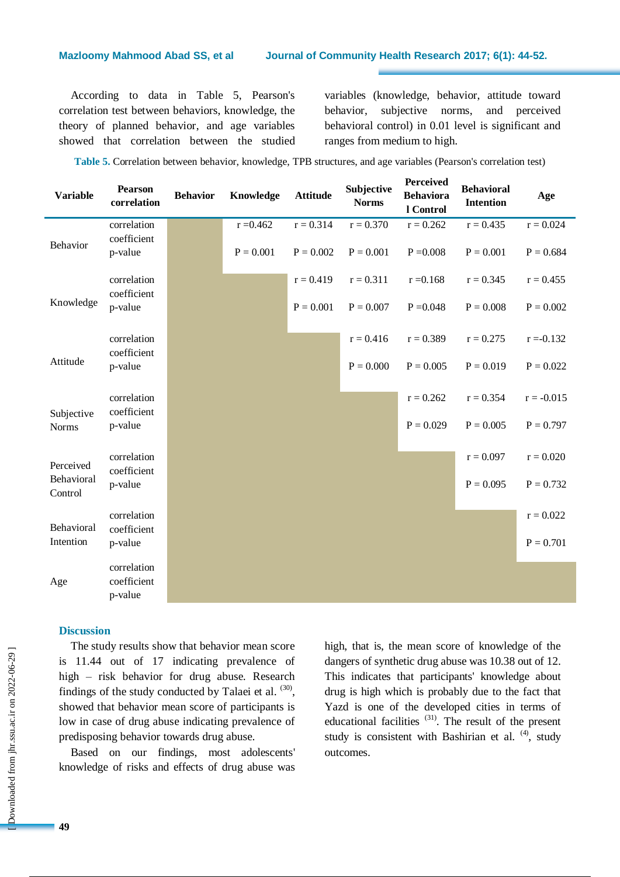According to data in Table 5, Pearson's correlation test between behaviors, knowledge, the theory of planned behavior, and age variables showed that correlation between the studied variables (knowledge, behavior, attitude toward behavior, subjective norms, and perceived behavioral control) in 0.01 level is significant and ranges from medium to high.

**Table 5.** Correlation between behavior, knowledge, TPB structures, and age variables (Pearson's correlation test)

| <b>Variable</b>       | <b>Pearson</b><br>correlation | <b>Behavior</b> | Knowledge   | <b>Attitude</b> | Subjective<br><b>Norms</b> | Perceived<br><b>Behaviora</b><br>l Control | <b>Behavioral</b><br><b>Intention</b> | Age          |
|-----------------------|-------------------------------|-----------------|-------------|-----------------|----------------------------|--------------------------------------------|---------------------------------------|--------------|
|                       | correlation                   |                 | $r = 0.462$ | $r = 0.314$     | $r = 0.370$                | $r = 0.262$                                | $r = 0.435$                           | $r = 0.024$  |
| Behavior              | coefficient<br>p-value        |                 | $P = 0.001$ | $P = 0.002$     | $P = 0.001$                | $P = 0.008$                                | $P = 0.001$                           | $P = 0.684$  |
|                       | correlation<br>coefficient    |                 |             | $r = 0.419$     | $r = 0.311$                | $r = 0.168$                                | $r = 0.345$                           | $r = 0.455$  |
| Knowledge             | p-value                       |                 |             | $P = 0.001$     | $P = 0.007$                | $P = 0.048$                                | $P = 0.008$                           | $P = 0.002$  |
|                       | correlation<br>coefficient    |                 |             |                 | $r = 0.416$                | $r = 0.389$                                | $r = 0.275$                           | $r = -0.132$ |
| Attitude              | p-value                       |                 |             |                 | $P = 0.000$                | $P = 0.005$                                | $P = 0.019$                           | $P = 0.022$  |
| Subjective            | correlation<br>coefficient    |                 |             |                 |                            | $r = 0.262$                                | $r = 0.354$                           | $r = -0.015$ |
| <b>Norms</b>          | p-value                       |                 |             |                 |                            | $P = 0.029$                                | $P = 0.005$                           | $P = 0.797$  |
| Perceived             | correlation<br>coefficient    |                 |             |                 |                            |                                            | $r = 0.097$                           | $r = 0.020$  |
| Behavioral<br>Control | p-value                       |                 |             |                 |                            |                                            | $P = 0.095$                           | $P = 0.732$  |
| Behavioral            | correlation<br>coefficient    |                 |             |                 |                            |                                            |                                       | $r = 0.022$  |
| Intention             | p-value                       |                 |             |                 |                            |                                            |                                       | $P = 0.701$  |
| Age                   | correlation<br>coefficient    |                 |             |                 |                            |                                            |                                       |              |
|                       | p-value                       |                 |             |                 |                            |                                            |                                       |              |

#### **Discussion**

The study results show that behavior mean score is 11.44 out of 17 indicating prevalence of high – risk behavior for drug abuse. Research findings of the study conducted by Talaei et al.  $(30)$ , showed that behavior mean score of participants is low in case of drug abuse indicating prevalence of predisposing behavior towards drug abuse.

Based on our findings, most adolescents' knowledge of risks and effects of drug abuse was high, that is, the mean score of knowledge of the dangers of synthetic drug abuse was 10.38 out of 12. This indicates that participants' knowledge about drug is high which is probably due to the fact that Yazd is one of the developed cities in terms of educational facilities  $(31)$ . The result of the present study is consistent with Bashirian et al.  $(4)$ , study outcomes.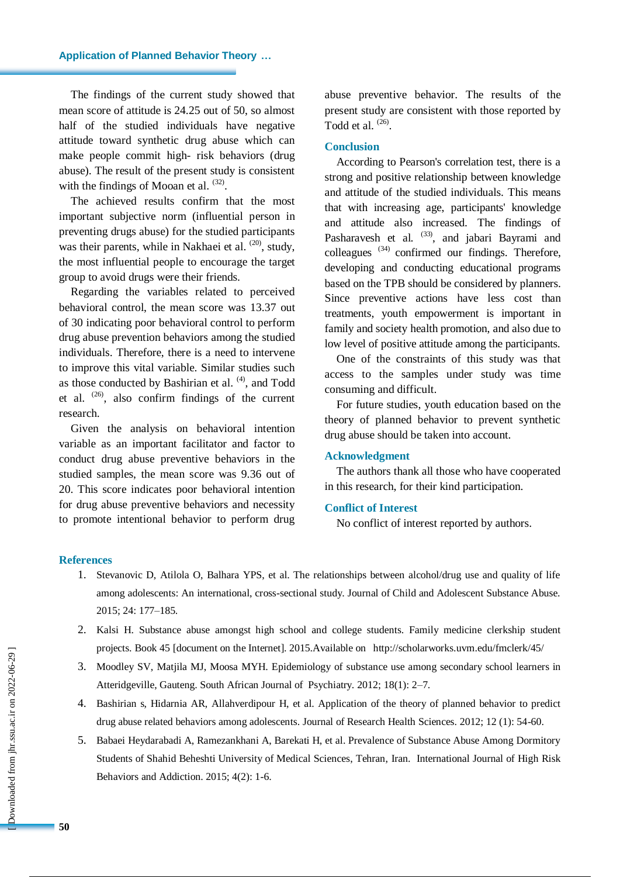The findings of the current study showed that mean score of attitude is 24.25 out of 50, so almost half of the studied individuals have negative attitude toward synthetic drug abuse which can make people commit high- risk behaviors (drug abuse). The result of the present study is consistent with the findings of Mooan et al.  $(32)$ .

The achieved results confirm that the most important subjective norm (influential person in preventing drugs abuse) for the studied participants was their parents, while in Nakhaei et al. <sup>(20)</sup>, study, the most influential people to encourage the target group to avoid drugs were their friends.

Regarding the variables related to perceived behavioral control, the mean score was 13.37 out of 30 indicating poor behavioral control to perform drug abuse prevention behaviors among the studied individuals. Therefore, there is a need to intervene to improve this vital variable. Similar studies such as those conducted by Bashirian et al.  $(4)$ , and Todd et al.  $(26)$ , also confirm findings of the current research.

Given the analysis on behavioral intention variable as an important facilitator and factor to conduct drug abuse preventive behaviors in the studied samples, the mean score was 9.36 out of 20. This score indicates poor behavioral intention for drug abuse preventive behaviors and necessity to promote intentional behavior to perform drug

abuse preventive behavior. The results of the present study are consistent with those reported by Todd et al.  $(26)$ .

### **Conclusion**

According to Pearson's correlation test, there is a strong and positive relationship between knowledge and attitude of the studied individuals. This means that with increasing age, participants' knowledge and attitude also increased. The findings of Pasharavesh et al.  $(33)$ , and jabari Bayrami and colleagues (34) confirmed our findings. Therefore, developing and conducting educational programs based on the TPB should be considered by planners. Since preventive actions have less cost than treatments, youth empowerment is important in family and society health promotion, and also due to low level of positive attitude among the participants.

One of the constraints of this study was that access to the samples under study was time consuming and difficult.

For future studies, youth education based on the theory of planned behavior to prevent synthetic drug abuse should be taken into account.

### **Acknowledgment**

The authors thank all those who have cooperated in this research, for their kind participation.

#### **Conflict of Interest**

No conflict of interest reported by authors.

#### **References**

- 1. Stevanovic D, Atilola O, Balhara YPS, et al. The relationships between alcohol/drug use and quality of life among adolescents: An international, cross-sectional study. Journal of Child and Adolescent Substance Abuse. 2015; 24: 177–185.
- 2. Kalsi H. Substance abuse amongst high school and college students. Family medicine clerkship student projects. Book 45 [document on the Internet]. 2015.Available on http://scholarworks.uvm.edu/fmclerk/45/
- 3. Moodley SV, Matjila MJ, Moosa MYH. Epidemiology of substance use among secondary school learners in Atteridgeville, Gauteng. South African Journal of Psychiatry. 2012; 18(1): 2–7.
- 4. Bashirian s, Hidarnia AR, Allahverdipour H, et al. Application of the theory of planned behavior to predict drug abuse related behaviors among adolescents. Journal of Research Health Sciences. 2012; 12 (1): 54-60.
- 5. Babaei Heydarabadi A, Ramezankhani A, Barekati H, et al. Prevalence of Substance Abuse Among Dormitory Students of Shahid Beheshti University of Medical Sciences, Tehran, Iran. International Journal of High Risk Behaviors and Addiction. 2015; 4(2): 1-6.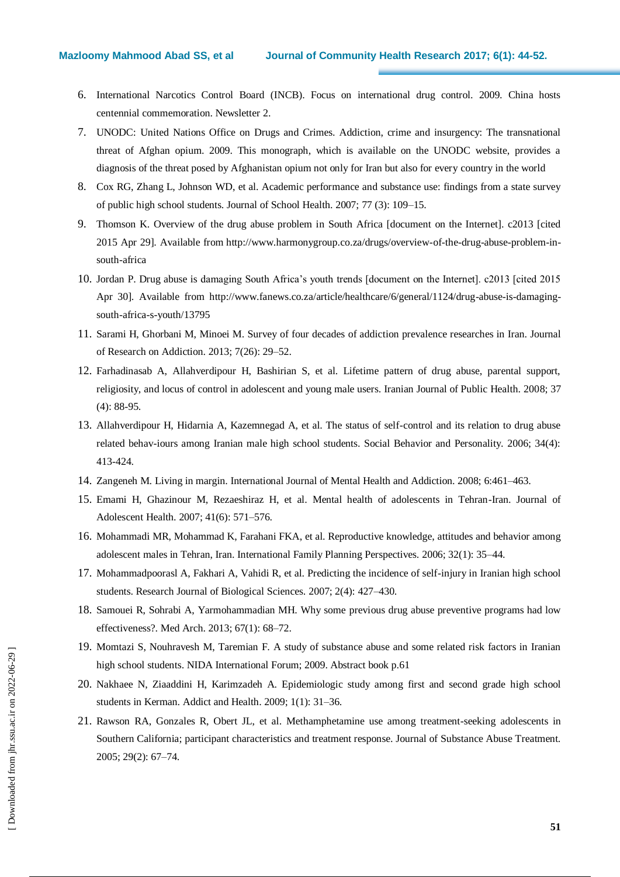- 6. International Narcotics Control Board (INCB). Focus on international drug control. 2009. China hosts centennial commemoration. Newsletter 2.
- 7. UNODC: United Nations Office on Drugs and Crimes. Addiction, crime and insurgency: The transnational threat of Afghan opium. 2009. This monograph, which is available on the UNODC website, provides a diagnosis of the threat posed by Afghanistan opium not only for Iran but also for every country in the world
- 8. Cox RG, Zhang L, Johnson WD, et al. Academic performance and substance use: findings from a state survey of public high school students. Journal of School Health. 2007; 77 (3): 109–15.
- 9. Thomson K. Overview of the drug abuse problem in South Africa [document on the Internet]. c2013 [cited 2015 Apr 29]. Available from [http://www.harmonygroup.co.za/drugs/overview-of-the-drug-abuse-problem-in](http://www.harmonygroup.co.za/drugs/overview-of-the-drug-abuse-problem-in-south-africa/)[south-africa](http://www.harmonygroup.co.za/drugs/overview-of-the-drug-abuse-problem-in-south-africa/)
- 10. Jordan P. Drug abuse is damaging South Africa's youth trends [document on the Internet]. c2013 [cited 2015 Apr 30]. Available from [http://www.fanews.co.za/article/healthcare/6/general/1124/drug-abuse-is-damaging](http://www.fanews.co.za/article/healthcare/6/general/1124/drug-abuse-is-damaging-south-africa-s-youth/13795)[south-africa-s-youth/13795](http://www.fanews.co.za/article/healthcare/6/general/1124/drug-abuse-is-damaging-south-africa-s-youth/13795)
- 11. Sarami H, Ghorbani M, Minoei M. Survey of four decades of addiction prevalence researches in Iran. Journal of Research on Addiction. 2013; 7(26): 29–52.
- 12. Farhadinasab A, Allahverdipour H, Bashirian S, et al. Lifetime pattern of drug abuse, parental support, religiosity, and locus of control in adolescent and young male users. Iranian Journal of Public Health. 2008; 37 (4): 88-95.
- 13. Allahverdipour H, Hidarnia A, Kazemnegad A, et al. The status of self-control and its relation to drug abuse related behav-iours among Iranian male high school students. Social Behavior and Personality. 2006; 34(4): 413-424.
- 14. Zangeneh M. Living in margin. International Journal of Mental Health and Addiction. 2008; 6:461–463.
- 15. Emami H, Ghazinour M, Rezaeshiraz H, et al. Mental health of adolescents in Tehran-Iran. Journal of Adolescent Health. 2007; 41(6): 571–576.
- 16. Mohammadi MR, Mohammad K, Farahani FKA, et al. Reproductive knowledge, attitudes and behavior among adolescent males in Tehran, Iran. International Family Planning Perspectives. 2006; 32(1): 35–44.
- 17. Mohammadpoorasl A, Fakhari A, Vahidi R, et al. Predicting the incidence of self-injury in Iranian high school students. Research Journal of Biological Sciences. 2007; 2(4): 427–430.
- 18. Samouei R, Sohrabi A, Yarmohammadian MH. Why some previous drug abuse preventive programs had low effectiveness?. Med Arch. 2013; 67(1): 68–72.
- 19. Momtazi S, Nouhravesh M, Taremian F. A study of substance abuse and some related risk factors in Iranian high school students. NIDA International Forum; 2009. Abstract book p.61
- 20. Nakhaee N, Ziaaddini H, Karimzadeh A. Epidemiologic study among first and second grade high school students in Kerman. Addict and Health. 2009; 1(1): 31–36.
- 21. Rawson RA, Gonzales R, Obert JL, et al. Methamphetamine use among treatment-seeking adolescents in Southern California; participant characteristics and treatment response. Journal of Substance Abuse Treatment. 2005; 29(2): 67–74.